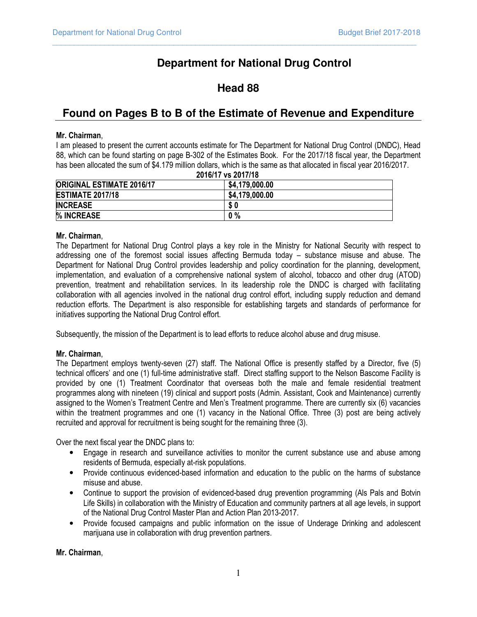# **Department for National Drug Control**

## **Head 88**

 $\_$  , and the set of the set of the set of the set of the set of the set of the set of the set of the set of the set of the set of the set of the set of the set of the set of the set of the set of the set of the set of th

## **Found on Pages B to B of the Estimate of Revenue and Expenditure**

### Mr. Chairman,

I am pleased to present the current accounts estimate for The Department for National Drug Control (DNDC), Head 88, which can be found starting on page B-302 of the Estimates Book. For the 2017/18 fiscal year, the Department has been allocated the sum of \$4.179 million dollars, which is the same as that allocated in fiscal year 2016/2017.

| 2016/17 vs 2017/18               |                |
|----------------------------------|----------------|
| <b>ORIGINAL ESTIMATE 2016/17</b> | \$4,179,000.00 |
| <b>ESTIMATE 2017/18</b>          | \$4,179,000.00 |
| <b>INCREASE</b>                  | S 0            |
| <b>% INCREASE</b>                | 0%             |

### Mr. Chairman,

The Department for National Drug Control plays a key role in the Ministry for National Security with respect to addressing one of the foremost social issues affecting Bermuda today – substance misuse and abuse. The Department for National Drug Control provides leadership and policy coordination for the planning, development, implementation, and evaluation of a comprehensive national system of alcohol, tobacco and other drug (ATOD) prevention, treatment and rehabilitation services. In its leadership role the DNDC is charged with facilitating collaboration with all agencies involved in the national drug control effort, including supply reduction and demand reduction efforts. The Department is also responsible for establishing targets and standards of performance for initiatives supporting the National Drug Control effort.

Subsequently, the mission of the Department is to lead efforts to reduce alcohol abuse and drug misuse.

## Mr. Chairman,

The Department employs twenty-seven (27) staff. The National Office is presently staffed by a Director, five (5) technical officers' and one (1) full-time administrative staff. Direct staffing support to the Nelson Bascome Facility is provided by one (1) Treatment Coordinator that overseas both the male and female residential treatment programmes along with nineteen (19) clinical and support posts (Admin. Assistant, Cook and Maintenance) currently assigned to the Women's Treatment Centre and Men's Treatment programme. There are currently six (6) vacancies within the treatment programmes and one (1) vacancy in the National Office. Three (3) post are being actively recruited and approval for recruitment is being sought for the remaining three (3).

Over the next fiscal year the DNDC plans to:

- Engage in research and surveillance activities to monitor the current substance use and abuse among residents of Bermuda, especially at-risk populations.
- Provide continuous evidenced-based information and education to the public on the harms of substance misuse and abuse.
- Continue to support the provision of evidenced-based drug prevention programming (Als Pals and Botvin Life Skills) in collaboration with the Ministry of Education and community partners at all age levels, in support of the National Drug Control Master Plan and Action Plan 2013-2017.
- Provide focused campaigns and public information on the issue of Underage Drinking and adolescent marijuana use in collaboration with drug prevention partners.

Mr. Chairman,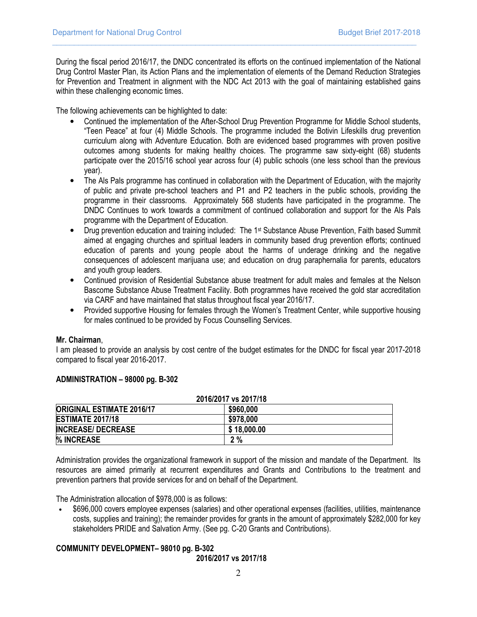During the fiscal period 2016/17, the DNDC concentrated its efforts on the continued implementation of the National Drug Control Master Plan, its Action Plans and the implementation of elements of the Demand Reduction Strategies for Prevention and Treatment in alignment with the NDC Act 2013 with the goal of maintaining established gains within these challenging economic times.

 $\_$  , and the set of the set of the set of the set of the set of the set of the set of the set of the set of the set of the set of the set of the set of the set of the set of the set of the set of the set of the set of th

The following achievements can be highlighted to date:

- Continued the implementation of the After-School Drug Prevention Programme for Middle School students, "Teen Peace" at four (4) Middle Schools. The programme included the Botivin Lifeskills drug prevention curriculum along with Adventure Education. Both are evidenced based programmes with proven positive outcomes among students for making healthy choices. The programme saw sixty-eight (68) students participate over the 2015/16 school year across four (4) public schools (one less school than the previous year).
- The Als Pals programme has continued in collaboration with the Department of Education, with the majority of public and private pre-school teachers and P1 and P2 teachers in the public schools, providing the programme in their classrooms. Approximately 568 students have participated in the programme. The DNDC Continues to work towards a commitment of continued collaboration and support for the Als Pals programme with the Department of Education.
- Drug prevention education and training included: The 1<sup>st</sup> Substance Abuse Prevention, Faith based Summit aimed at engaging churches and spiritual leaders in community based drug prevention efforts; continued education of parents and young people about the harms of underage drinking and the negative consequences of adolescent marijuana use; and education on drug paraphernalia for parents, educators and youth group leaders.
- Continued provision of Residential Substance abuse treatment for adult males and females at the Nelson Bascome Substance Abuse Treatment Facility. Both programmes have received the gold star accreditation via CARF and have maintained that status throughout fiscal year 2016/17.
- Provided supportive Housing for females through the Women's Treatment Center, while supportive housing for males continued to be provided by Focus Counselling Services.

#### Mr. Chairman,

I am pleased to provide an analysis by cost centre of the budget estimates for the DNDC for fiscal year 2017-2018 compared to fiscal year 2016-2017.

| 2016/2017 vs 2017/18             |             |
|----------------------------------|-------------|
| <b>ORIGINAL ESTIMATE 2016/17</b> | \$960,000   |
| <b>ESTIMATE 2017/18</b>          | \$978,000   |
| <b>INCREASE/ DECREASE</b>        | \$18,000.00 |
| % INCREASE                       | 2%          |

#### ADMINISTRATION – 98000 pg. B-302

Administration provides the organizational framework in support of the mission and mandate of the Department. Its resources are aimed primarily at recurrent expenditures and Grants and Contributions to the treatment and prevention partners that provide services for and on behalf of the Department.

The Administration allocation of \$978,000 is as follows:

• \$696,000 covers employee expenses (salaries) and other operational expenses (facilities, utilities, maintenance costs, supplies and training); the remainder provides for grants in the amount of approximately \$282,000 for key stakeholders PRIDE and Salvation Army. (See pg. C-20 Grants and Contributions).

#### COMMUNITY DEVELOPMENT– 98010 pg. B-302 2016/2017 vs 2017/18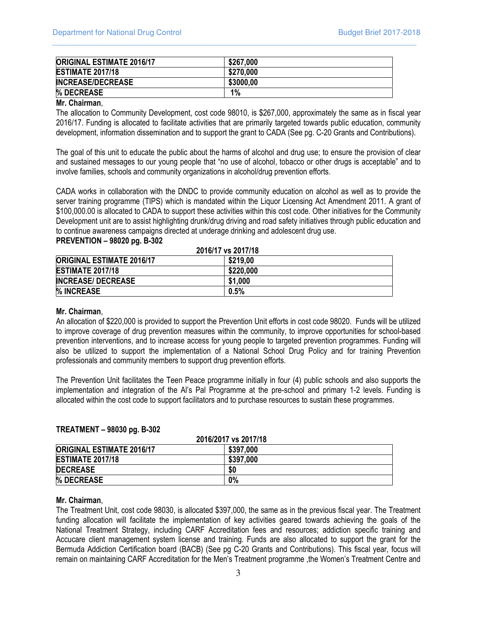| <b>ORIGINAL ESTIMATE 2016/17</b> | \$267,000 |
|----------------------------------|-----------|
| <b>ESTIMATE 2017/18</b>          | \$270,000 |
| <b>INCREASE/DECREASE</b>         | \$3000,00 |
| % DECREASE                       | $1\%$     |

 $\_$  , and the set of the set of the set of the set of the set of the set of the set of the set of the set of the set of the set of the set of the set of the set of the set of the set of the set of the set of the set of th

#### Mr. Chairman,

The allocation to Community Development, cost code 98010, is \$267,000, approximately the same as in fiscal year 2016/17. Funding is allocated to facilitate activities that are primarily targeted towards public education, community development, information dissemination and to support the grant to CADA (See pg. C-20 Grants and Contributions).

The goal of this unit to educate the public about the harms of alcohol and drug use; to ensure the provision of clear and sustained messages to our young people that "no use of alcohol, tobacco or other drugs is acceptable" and to involve families, schools and community organizations in alcohol/drug prevention efforts.

CADA works in collaboration with the DNDC to provide community education on alcohol as well as to provide the server training programme (TIPS) which is mandated within the Liquor Licensing Act Amendment 2011. A grant of \$100,000.00 is allocated to CADA to support these activities within this cost code. Other initiatives for the Community Development unit are to assist highlighting drunk/drug driving and road safety initiatives through public education and to continue awareness campaigns directed at underage drinking and adolescent drug use. PREVENTION – 98020 pg. B-302

| 2016/17 vs 2017/18               |           |
|----------------------------------|-----------|
| <b>ORIGINAL ESTIMATE 2016/17</b> | \$219.00  |
| <b>ESTIMATE 2017/18</b>          | \$220,000 |
| <b>INCREASE/ DECREASE</b>        | \$1,000   |
| % INCREASE                       | 0.5%      |

#### Mr. Chairman,

An allocation of \$220,000 is provided to support the Prevention Unit efforts in cost code 98020. Funds will be utilized to improve coverage of drug prevention measures within the community, to improve opportunities for school-based prevention interventions, and to increase access for young people to targeted prevention programmes. Funding will also be utilized to support the implementation of a National School Drug Policy and for training Prevention professionals and community members to support drug prevention efforts.

The Prevention Unit facilitates the Teen Peace programme initially in four (4) public schools and also supports the implementation and integration of the Al's Pal Programme at the pre-school and primary 1-2 levels. Funding is allocated within the cost code to support facilitators and to purchase resources to sustain these programmes.

| 2016/2017 vs 2017/18             |           |
|----------------------------------|-----------|
| <b>ORIGINAL ESTIMATE 2016/17</b> | \$397,000 |
| <b>ESTIMATE 2017/18</b>          | \$397,000 |
| <b>DECREASE</b>                  | \$0       |
| % DECREASE                       | 0%        |

### TREATMENT – 98030 pg. B-302

#### Mr. Chairman,

The Treatment Unit, cost code 98030, is allocated \$397,000, the same as in the previous fiscal year. The Treatment funding allocation will facilitate the implementation of key activities geared towards achieving the goals of the National Treatment Strategy, including CARF Accreditation fees and resources; addiction specific training and Accucare client management system license and training. Funds are also allocated to support the grant for the Bermuda Addiction Certification board (BACB) (See pg C-20 Grants and Contributions). This fiscal year, focus will remain on maintaining CARF Accreditation for the Men's Treatment programme ,the Women's Treatment Centre and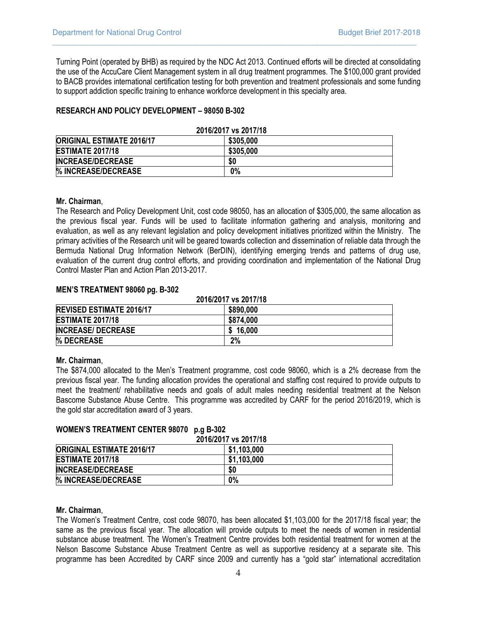Turning Point (operated by BHB) as required by the NDC Act 2013. Continued efforts will be directed at consolidating the use of the AccuCare Client Management system in all drug treatment programmes. The \$100,000 grant provided to BACB provides international certification testing for both prevention and treatment professionals and some funding to support addiction specific training to enhance workforce development in this specialty area.

 $\_$  , and the set of the set of the set of the set of the set of the set of the set of the set of the set of the set of the set of the set of the set of the set of the set of the set of the set of the set of the set of th

### RESEARCH AND POLICY DEVELOPMENT – 98050 B-302

| ZUI UZUIT VS ZUITTIO             |           |
|----------------------------------|-----------|
| <b>ORIGINAL ESTIMATE 2016/17</b> | \$305,000 |
| <b>ESTIMATE 2017/18</b>          | \$305,000 |
| <b>INCREASE/DECREASE</b>         | \$0       |
| % INCREASE/DECREASE              | 0%        |

### 2016/2017 vs 2017/18

#### Mr. Chairman,

The Research and Policy Development Unit, cost code 98050, has an allocation of \$305,000, the same allocation as the previous fiscal year. Funds will be used to facilitate information gathering and analysis, monitoring and evaluation, as well as any relevant legislation and policy development initiatives prioritized within the Ministry. The primary activities of the Research unit will be geared towards collection and dissemination of reliable data through the Bermuda National Drug Information Network (BerDIN), identifying emerging trends and patterns of drug use, evaluation of the current drug control efforts, and providing coordination and implementation of the National Drug Control Master Plan and Action Plan 2013-2017.

#### MEN'S TREATMENT 98060 pg. B-302

| 2016/2017 vs 2017/18            |           |
|---------------------------------|-----------|
| <b>REVISED ESTIMATE 2016/17</b> | \$890,000 |
| <b>ESTIMATE 2017/18</b>         | \$874,000 |
| <b>INCREASE/ DECREASE</b>       | 16.000    |
| % DECREASE                      | 2%        |

#### Mr. Chairman,

The \$874,000 allocated to the Men's Treatment programme, cost code 98060, which is a 2% decrease from the previous fiscal year. The funding allocation provides the operational and staffing cost required to provide outputs to meet the treatment/ rehabilitative needs and goals of adult males needing residential treatment at the Nelson Bascome Substance Abuse Centre. This programme was accredited by CARF for the period 2016/2019, which is the gold star accreditation award of 3 years.

## 2016/2017 vs 2017/18 **ORIGINAL ESTIMATE 2016/17** \$1,103,000 ESTIMATE 2017/18 \$1,103,000 INCREASE/DECREASE  $\vert$  \$0 % INCREASE/DECREASE 0%

## WOMEN'S TREATMENT CENTER 98070 p.g B-302

#### Mr. Chairman,

The Women's Treatment Centre, cost code 98070, has been allocated \$1,103,000 for the 2017/18 fiscal year; the same as the previous fiscal year. The allocation will provide outputs to meet the needs of women in residential substance abuse treatment. The Women's Treatment Centre provides both residential treatment for women at the Nelson Bascome Substance Abuse Treatment Centre as well as supportive residency at a separate site. This programme has been Accredited by CARF since 2009 and currently has a "gold star" international accreditation